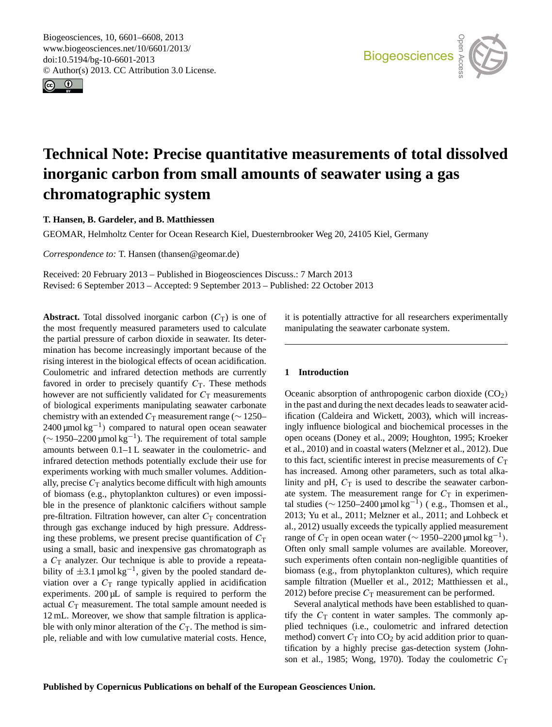<span id="page-0-0"></span>Biogeosciences, 10, 6601–6608, 2013 www.biogeosciences.net/10/6601/2013/ doi:10.5194/bg-10-6601-2013 © Author(s) 2013. CC Attribution 3.0 License.





# **Technical Note: Precise quantitative measurements of total dissolved inorganic carbon from small amounts of seawater using a gas chromatographic system**

**T. Hansen, B. Gardeler, and B. Matthiessen**

GEOMAR, Helmholtz Center for Ocean Research Kiel, Duesternbrooker Weg 20, 24105 Kiel, Germany

*Correspondence to:* T. Hansen (thansen@geomar.de)

Received: 20 February 2013 – Published in Biogeosciences Discuss.: 7 March 2013 Revised: 6 September 2013 – Accepted: 9 September 2013 – Published: 22 October 2013

**Abstract.** Total dissolved inorganic carbon  $(C_T)$  is one of the most frequently measured parameters used to calculate the partial pressure of carbon dioxide in seawater. Its determination has become increasingly important because of the rising interest in the biological effects of ocean acidification. Coulometric and infrared detection methods are currently favored in order to precisely quantify  $C_T$ . These methods however are not sufficiently validated for  $C<sub>T</sub>$  measurements of biological experiments manipulating seawater carbonate chemistry with an extended  $C_T$  measurement range ( $\sim$  1250– 2400 μmol kg<sup>-1</sup>) compared to natural open ocean seawater ( $\sim$  1950–2200 μmol kg<sup>-1</sup>). The requirement of total sample amounts between 0.1–1 L seawater in the coulometric- and infrared detection methods potentially exclude their use for experiments working with much smaller volumes. Additionally, precise  $C_T$  analytics become difficult with high amounts of biomass (e.g., phytoplankton cultures) or even impossible in the presence of planktonic calcifiers without sample pre-filtration. Filtration however, can alter  $C_T$  concentration through gas exchange induced by high pressure. Addressing these problems, we present precise quantification of  $C_T$ using a small, basic and inexpensive gas chromatograph as a  $C_T$  analyzer. Our technique is able to provide a repeatability of  $\pm 3.1 \mu$ mol kg<sup>-1</sup>, given by the pooled standard deviation over a  $C<sub>T</sub>$  range typically applied in acidification experiments. 200 µL of sample is required to perform the actual  $C_T$  measurement. The total sample amount needed is 12 mL. Moreover, we show that sample filtration is applicable with only minor alteration of the  $C_T$ . The method is simple, reliable and with low cumulative material costs. Hence, it is potentially attractive for all researchers experimentally manipulating the seawater carbonate system.

## **1 Introduction**

Oceanic absorption of anthropogenic carbon dioxide  $(CO<sub>2</sub>)$ in the past and during the next decades leads to seawater acidification (Caldeira and Wickett, 2003), which will increasingly influence biological and biochemical processes in the open oceans (Doney et al., 2009; Houghton, 1995; Kroeker et al., 2010) and in coastal waters (Melzner et al., 2012). Due to this fact, scientific interest in precise measurements of  $C<sub>T</sub>$ has increased. Among other parameters, such as total alkalinity and pH,  $C_T$  is used to describe the seawater carbonate system. The measurement range for  $C_T$  in experimental studies ( $\sim$  1250–2400 µmol kg<sup>-1</sup>) (e.g., Thomsen et al., 2013; Yu et al., 2011; Melzner et al., 2011; and Lohbeck et al., 2012) usually exceeds the typically applied measurement range of  $C_T$  in open ocean water (~ 1950–2200 µmol kg<sup>-1</sup>). Often only small sample volumes are available. Moreover, such experiments often contain non-negligible quantities of biomass (e.g., from phytoplankton cultures), which require sample filtration (Mueller et al., 2012; Matthiessen et al., 2012) before precise  $C_T$  measurement can be performed.

Several analytical methods have been established to quantify the  $C_T$  content in water samples. The commonly applied techniques (i.e., coulometric and infrared detection method) convert  $C_T$  into  $CO_2$  by acid addition prior to quantification by a highly precise gas-detection system (Johnson et al., 1985; Wong, 1970). Today the coulometric  $C_T$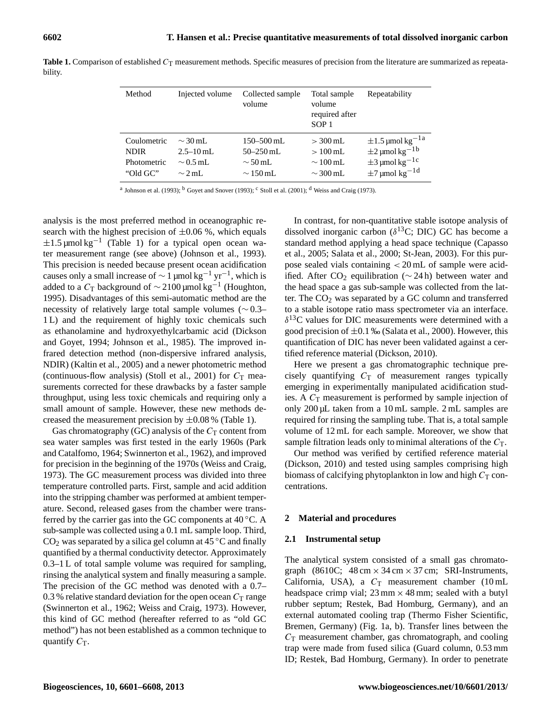| Method      | Injected volume | Collected sample<br>volume | Total sample<br>volume<br>required after<br>SOP <sub>1</sub> | Repeatability                     |
|-------------|-----------------|----------------------------|--------------------------------------------------------------|-----------------------------------|
| Coulometric | $\sim$ 30 mL    | $150 - 500$ mL             | $> 300$ mL                                                   | $\pm 1.5$ µmol kg <sup>-1 a</sup> |
| <b>NDIR</b> | $2.5 - 10$ mL   | $50 - 250$ mL              | $>100 \,\mathrm{mL}$                                         | $\pm 2$ µmol kg <sup>-1b</sup>    |
| Photometric | $\sim$ 0.5 mL   | $\sim$ 50 mL               | $\sim$ 100 mL                                                | $\pm$ 3 µmol kg <sup>-1 c</sup>   |
| "Old GC"    | $\sim$ 2 mL     | $\sim$ 150 mL              | $\sim$ 300 mL                                                | $\pm$ 7 µmol kg <sup>-1d</sup>    |

Table 1. Comparison of established C<sub>T</sub> measurement methods. Specific measures of precision from the literature are summarized as repeatability.

<sup>a</sup> Johnson et al. (1993); <sup>b</sup> Goyet and Snover (1993); <sup>c</sup> Stoll et al. (2001); <sup>d</sup> Weiss and Craig (1973).

analysis is the most preferred method in oceanographic research with the highest precision of  $\pm 0.06$  %, which equals  $\pm 1.5 \,\text{\mu}$ mol kg<sup>-1</sup> (Table 1) for a typical open ocean water measurement range (see above) (Johnson et al., 1993). This precision is needed because present ocean acidification causes only a small increase of  $\sim 1$  µmol kg<sup>-1</sup> yr<sup>-1</sup>, which is added to a  $C_T$  background of  $\sim$  2100 µmol kg<sup>-1</sup> (Houghton, 1995). Disadvantages of this semi-automatic method are the necessity of relatively large total sample volumes (∼ 0.3– 1 L) and the requirement of highly toxic chemicals such as ethanolamine and hydroxyethylcarbamic acid (Dickson and Goyet, 1994; Johnson et al., 1985). The improved infrared detection method (non-dispersive infrared analysis, NDIR) (Kaltin et al., 2005) and a newer photometric method (continuous-flow analysis) (Stoll et al., 2001) for  $C<sub>T</sub>$  measurements corrected for these drawbacks by a faster sample throughput, using less toxic chemicals and requiring only a small amount of sample. However, these new methods decreased the measurement precision by  $\pm 0.08$  % (Table 1).

Gas chromatography (GC) analysis of the  $C_T$  content from sea water samples was first tested in the early 1960s (Park and Catalfomo, 1964; Swinnerton et al., 1962), and improved for precision in the beginning of the 1970s (Weiss and Craig, 1973). The GC measurement process was divided into three temperature controlled parts. First, sample and acid addition into the stripping chamber was performed at ambient temperature. Second, released gases from the chamber were transferred by the carrier gas into the GC components at  $40^{\circ}$ C. A sub-sample was collected using a 0.1 mL sample loop. Third,  $CO<sub>2</sub>$  was separated by a silica gel column at 45 °C and finally quantified by a thermal conductivity detector. Approximately 0.3–1 L of total sample volume was required for sampling, rinsing the analytical system and finally measuring a sample. The precision of the GC method was denoted with a 0.7– 0.3 % relative standard deviation for the open ocean  $C<sub>T</sub>$  range (Swinnerton et al., 1962; Weiss and Craig, 1973). However, this kind of GC method (hereafter referred to as "old GC method") has not been established as a common technique to quantify  $C_T$ .

In contrast, for non-quantitative stable isotope analysis of dissolved inorganic carbon ( $\delta^{13}$ C; DIC) GC has become a standard method applying a head space technique (Capasso et al., 2005; Salata et al., 2000; St-Jean, 2003). For this purpose sealed vials containing < 20 mL of sample were acidified. After CO<sub>2</sub> equilibration ( $∼ 24$  h) between water and the head space a gas sub-sample was collected from the latter. The  $CO<sub>2</sub>$  was separated by a GC column and transferred to a stable isotope ratio mass spectrometer via an interface.  $\delta^{13}$ C values for DIC measurements were determined with a good precision of  $\pm 0.1$  ‰ (Salata et al., 2000). However, this quantification of DIC has never been validated against a certified reference material (Dickson, 2010).

Here we present a gas chromatographic technique precisely quantifying  $C_T$  of measurement ranges typically emerging in experimentally manipulated acidification studies. A  $C_T$  measurement is performed by sample injection of only 200 µL taken from a 10 mL sample. 2 mL samples are required for rinsing the sampling tube. That is, a total sample volume of 12 mL for each sample. Moreover, we show that sample filtration leads only to minimal alterations of the  $C_T$ .

Our method was verified by certified reference material (Dickson, 2010) and tested using samples comprising high biomass of calcifying phytoplankton in low and high  $C<sub>T</sub>$  concentrations.

## **2 Material and procedures**

## **2.1 Instrumental setup**

The analytical system consisted of a small gas chromatograph (8610C;  $48 \text{ cm} \times 34 \text{ cm} \times 37 \text{ cm}$ ; SRI-Instruments, California, USA), a  $C_T$  measurement chamber (10 mL headspace crimp vial;  $23 \text{ mm} \times 48 \text{ mm}$ ; sealed with a butyl rubber septum; Restek, Bad Homburg, Germany), and an external automated cooling trap (Thermo Fisher Scientific, Bremen, Germany) (Fig. 1a, b). Transfer lines between the  $C_T$  measurement chamber, gas chromatograph, and cooling trap were made from fused silica (Guard column, 0.53 mm ID; Restek, Bad Homburg, Germany). In order to penetrate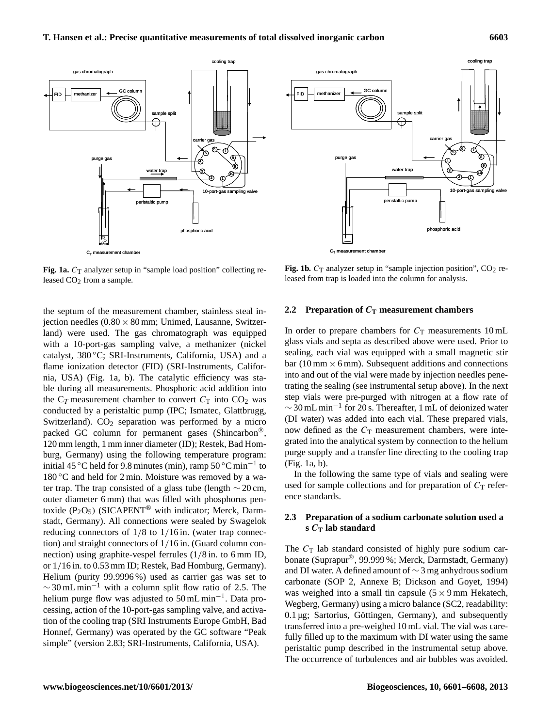

Fig. 1a.  $C_T$  analyzer setup in "sample load position" collecting released CO<sub>2</sub> from a sample.

the septum of the measurement chamber, stainless steal injection needles  $(0.80 \times 80 \text{ mm})$ ; Unimed, Lausanne, Switzerland) were used. The gas chromatograph was equipped with a 10-port-gas sampling valve, a methanizer (nickel catalyst, 380 ◦C; SRI-Instruments, California, USA) and a flame ionization detector (FID) (SRI-Instruments, California, USA) (Fig. 1a, b). The catalytic efficiency was stable during all measurements. Phosphoric acid addition into the  $C_T$  measurement chamber to convert  $C_T$  into  $CO_2$  was conducted by a peristaltic pump (IPC; Ismatec, Glattbrugg, Switzerland).  $CO<sub>2</sub>$  separation was performed by a micro packed GC column for permanent gases (Shincarbon®, 120 mm length, 1 mm inner diameter (ID); Restek, Bad Homburg, Germany) using the following temperature program: initial 45 °C held for 9.8 minutes (min), ramp  $50\degree$ C min<sup>-1</sup> to  $180^{\circ}$ C and held for 2 min. Moisture was removed by a water trap. The trap consisted of a glass tube (length  $\sim$  20 cm, outer diameter 6 mm) that was filled with phosphorus pentoxide  $(P_2O_5)$  (SICAPENT<sup>®</sup> with indicator; Merck, Darmstadt, Germany). All connections were sealed by Swagelok reducing connectors of  $1/8$  to  $1/16$  in. (water trap connection) and straight connectors of 1/16 in. (Guard column connection) using graphite-vespel ferrules (1/8 in. to 6 mm ID, or 1/16 in. to 0.53 mm ID; Restek, Bad Homburg, Germany). Helium (purity 99.9996 %) used as carrier gas was set to  $\sim$  30 mL min<sup>-1</sup> with a column split flow ratio of 2.5. The helium purge flow was adjusted to 50 mL min<sup>-1</sup>. Data processing, action of the 10-port-gas sampling valve, and activation of the cooling trap (SRI Instruments Europe GmbH, Bad Honnef, Germany) was operated by the GC software "Peak simple" (version 2.83; SRI-Instruments, California, USA).



**Fig. 1b.**  $C_T$  analyzer setup in "sample injection position",  $CO_2$  released from trap is loaded into the column for analysis.

## **2.2 Preparation of**  $C_T$  **measurement chambers**

step vials were pre-purged with nitrogen at a flow rate of In order to prepare chambers for  $C_T$  measurements 10 mL glass vials and septa as described above were used. Prior to sealing, each vial was equipped with a small magnetic stir bar (10 mm  $\times$  6 mm). Subsequent additions and connections into and out of the vial were made by injection needles penetrating the sealing (see instrumental setup above). In the next  $\sim$  30 mL min<sup>-1</sup> for 20 s. Thereafter, 1 mL of deionized water (DI water) was added into each vial. These prepared vials, now defined as the  $C<sub>T</sub>$  measurement chambers, were integrated into the analytical system by connection to the helium purge supply and a transfer line directing to the cooling trap (Fig. 1a, b).

In the following the same type of vials and sealing were used for sample collections and for preparation of  $C_T$  reference standards.

## **2.3 Preparation of a sodium carbonate solution used a s** C**<sup>T</sup> lab standard**

The  $C_T$  lab standard consisted of highly pure sodium carbonate (Suprapur®, 99.999 %; Merck, Darmstadt, Germany) and DI water. A defined amount of ∼ 3 mg anhydrous sodium carbonate (SOP 2, Annexe B; Dickson and Goyet, 1994) was weighed into a small tin capsule  $(5 \times 9 \text{ mm}$  Hekatech, Wegberg, Germany) using a micro balance (SC2, readability: 0.1 µg; Sartorius, Göttingen, Germany), and subsequently transferred into a pre-weighed 10 mL vial. The vial was carefully filled up to the maximum with DI water using the same peristaltic pump described in the instrumental setup above. The occurrence of turbulences and air bubbles was avoided.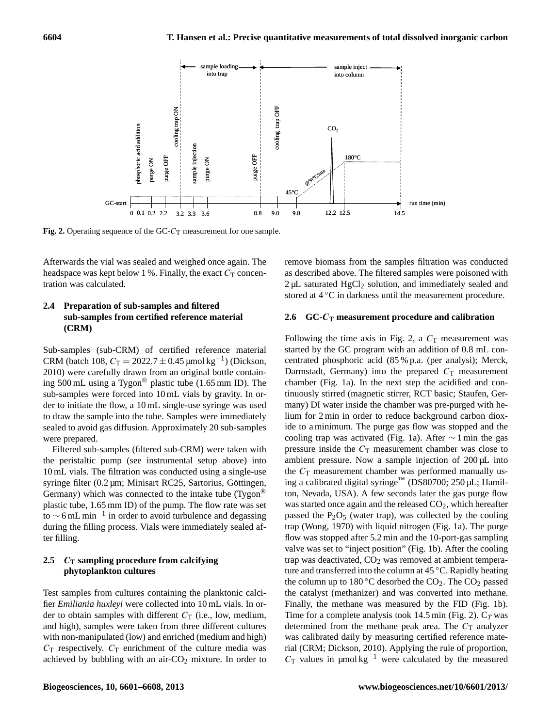

**Fig. 2.** Operating sequence of the  $GC-C_T$  measurement for one sample.

5 Afterwards the vial was sealed and weighed once again. The tration was calculated. headspace was kept below 1 %. Finally, the exact  $C<sub>T</sub>$  concen-

## 7 **2.4 Preparation of sub-samples and filtered** 8 **sub-samples from certified reference material (CRM)**

Sub-samples (sub-CRM) of certified reference material CRM (batch 108,  $C_T = 2022.7 \pm 0.45 \,\text{\mu} \text{mol} \text{kg}^{-1}$ ) (Dickson, ing 500 mL using a Tygon® plastic tube (1.65 mm ID). The der to initiate the flow, a 10 mL single-use syringe was used sealed to avoid gas diffusion. Approximately 20 sub-samples 2010) were carefully drawn from an original bottle containsub-samples were forced into 10 mL vials by gravity. In orto draw the sample into the tube. Samples were immediately were prepared.

Filtered sub-samples (filtered sub-CRM) were taken with 10 mL vials. The filtration was conducted using a single-use Germany) which was connected to the intake tube (Tygon® to  $\sim$  6 mL min<sup>-1</sup> in order to avoid turbulence and degassing ter filling. the peristaltic pump (see instrumental setup above) into syringe filter (0.2 µm; Minisart RC25, Sartorius, Göttingen, plastic tube, 1.65 mm ID) of the pump. The flow rate was set during the filling process. Vials were immediately sealed af-

## 19 **2.5** C**<sup>T</sup> sampling procedure from calcifying phytoplankton cultures**

Test samples from cultures containing the planktonic calcifier *Emiliania huxleyi* were collected into 10 mL vials. In order to obtain samples with different  $C_T$  (i.e., low, medium, and high), samples were taken from three different cultures with non-manipulated (low) and enriched (medium and high)  $C_T$  respectively.  $C_T$  enrichment of the culture media was achieved by bubbling with an air- $CO<sub>2</sub>$  mixture. In order to remove biomass from the samples filtration was conducted as described above. The filtered samples were poisoned with  $2 \mu$ L saturated HgCl<sub>2</sub> solution, and immediately sealed and stored at 4 ◦C in darkness until the measurement procedure.

## **2.6 GC-**C**<sup>T</sup> measurement procedure and calibration**

Following the time axis in Fig. 2, a  $C<sub>T</sub>$  measurement was started by the GC program with an addition of 0.8 mL concentrated phosphoric acid (85 % p.a. (per analysi); Merck, Darmstadt, Germany) into the prepared  $C_T$  measurement chamber (Fig. 1a). In the next step the acidified and continuously stirred (magnetic stirrer, RCT basic; Staufen, Germany) DI water inside the chamber was pre-purged with helium for 2 min in order to reduce background carbon dioxide to a minimum. The purge gas flow was stopped and the cooling trap was activated (Fig. 1a). After  $\sim$  1 min the gas pressure inside the  $C_T$  measurement chamber was close to ambient pressure. Now a sample injection of 200 µL into the  $C_T$  measurement chamber was performed manually using a calibrated digital syringe™ (DS80700; 250 µL; Hamilton, Nevada, USA). A few seconds later the gas purge flow was started once again and the released  $CO<sub>2</sub>$ , which hereafter passed the  $P_2O_5$  (water trap), was collected by the cooling trap (Wong, 1970) with liquid nitrogen (Fig. 1a). The purge flow was stopped after 5.2 min and the 10-port-gas sampling valve was set to "inject position" (Fig. 1b). After the cooling trap was deactivated, CO<sub>2</sub> was removed at ambient temperature and transferred into the column at 45 ◦C. Rapidly heating the column up to 180 °C desorbed the  $CO<sub>2</sub>$ . The  $CO<sub>2</sub>$  passed the catalyst (methanizer) and was converted into methane. Finally, the methane was measured by the FID (Fig. 1b). Time for a complete analysis took 14.5 min (Fig. 2).  $C_T$  was determined from the methane peak area. The  $C_T$  analyzer was calibrated daily by measuring certified reference material (CRM; Dickson, 2010). Applying the rule of proportion,  $C_T$  values in µmol kg<sup>-1</sup> were calculated by the measured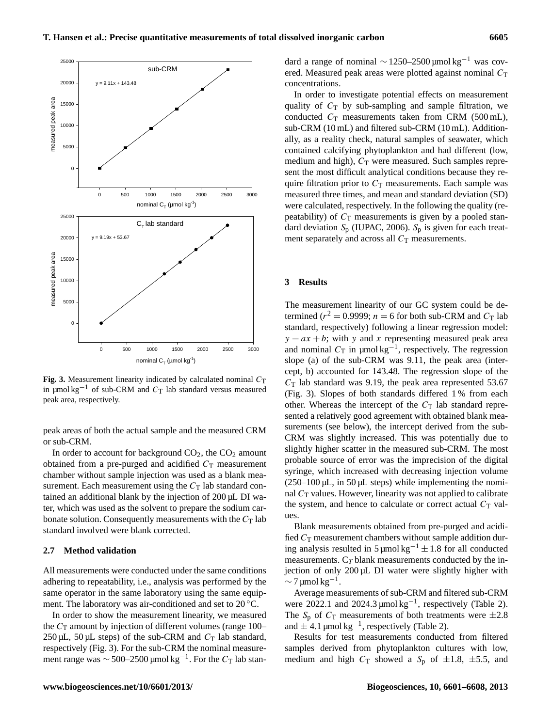

in  $\mu$ mol kg<sup>-1</sup> of sub-CRM and C<sub>T</sub> lab standard versus measured Fig. 3. Measurement linearity indicated by calculated nominal  $C_T$ peak area, respectively.

peak areas of both the actual sample and the measured CRM or sub-CRM.

In order to account for background  $CO<sub>2</sub>$ , the  $CO<sub>2</sub>$  amount obtained from a pre-purged and acidified  $C<sub>T</sub>$  measurement chamber without sample injection was used as a blank measurement. Each measurement using the  $C<sub>T</sub>$  lab standard contained an additional blank by the injection of 200 µL DI water, which was used as the solvent to prepare the sodium carbonate solution. Consequently measurements with the  $C_T$  lab standard involved were blank corrected.

### **2.7 Method validation**

All measurements were conducted under the same conditions adhering to repeatability, i.e., analysis was performed by the same operator in the same laboratory using the same equipment. The laboratory was air-conditioned and set to 20 °C.

In order to show the measurement linearity, we measured the  $C_T$  amount by injection of different volumes (range 100–  $250 \mu L$ ,  $50 \mu L$  steps) of the sub-CRM and  $C_T$  lab standard, respectively (Fig. 3). For the sub-CRM the nominal measurement range was  $\sim$  500–2500 µmol kg<sup>-1</sup>. For the  $C_T$  lab standard a range of nominal  $\sim$  1250–2500 µmol kg<sup>-1</sup> was covered. Measured peak areas were plotted against nominal  $C_T$ concentrations.

In order to investigate potential effects on measurement quality of  $C_T$  by sub-sampling and sample filtration, we conducted  $C_T$  measurements taken from CRM (500 mL), sub-CRM (10 mL) and filtered sub-CRM (10 mL). Additionally, as a reality check, natural samples of seawater, which contained calcifying phytoplankton and had different (low, medium and high),  $C_T$  were measured. Such samples represent the most difficult analytical conditions because they require filtration prior to  $C_T$  measurements. Each sample was measured three times, and mean and standard deviation (SD) were calculated, respectively. In the following the quality (repeatability) of  $C<sub>T</sub>$  measurements is given by a pooled standard deviation  $S_p$  (IUPAC, 2006).  $S_p$  is given for each treatment separately and across all  $C_T$  measurements.

## **3 Results**

The measurement linearity of our GC system could be determined ( $r^2 = 0.9999$ ;  $n = 6$  for both sub-CRM and  $C_T$  lab standard, respectively) following a linear regression model:  $y = ax + b$ ; with y and x representing measured peak area and nominal  $C_T$  in  $\mu$ mol kg<sup>-1</sup>, respectively. The regression slope (a) of the sub-CRM was 9.11, the peak area (intercept, b) accounted for 143.48. The regression slope of the  $C_T$  lab standard was 9.19, the peak area represented 53.67 (Fig. 3). Slopes of both standards differed 1 % from each other. Whereas the intercept of the  $C<sub>T</sub>$  lab standard represented a relatively good agreement with obtained blank measurements (see below), the intercept derived from the sub-CRM was slightly increased. This was potentially due to slightly higher scatter in the measured sub-CRM. The most probable source of error was the imprecision of the digital syringe, which increased with decreasing injection volume  $(250-100 \,\mu L, \text{ in } 50 \,\mu L \text{ steps})$  while implementing the nominal  $C_T$  values. However, linearity was not applied to calibrate the system, and hence to calculate or correct actual  $C_T$  values.

Blank measurements obtained from pre-purged and acidified  $C_T$  measurement chambers without sample addition during analysis resulted in  $5 \mu$ mol kg<sup>-1</sup> ± 1.8 for all conducted measurements.  $C_T$  blank measurements conducted by the injection of only 200 µL DI water were slightly higher with  $\sim$  7 µmol kg<sup>-1</sup>.

Average measurements of sub-CRM and filtered sub-CRM were 2022.1 and 2024.3 µmol kg<sup>-1</sup>, respectively (Table 2). The  $S_p$  of  $C_T$  measurements of both treatments were  $\pm 2.8$ and  $\pm 4.1$  µmol kg<sup>-1</sup>, respectively (Table 2).

Results for test measurements conducted from filtered samples derived from phytoplankton cultures with low, medium and high  $C_T$  showed a  $S_p$  of  $\pm 1.8$ ,  $\pm 5.5$ , and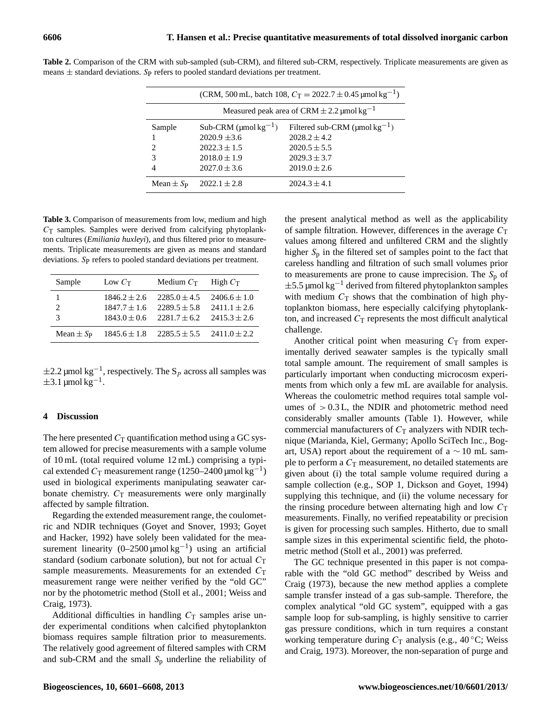| (CRM, 500 mL, batch 108, $C_T = 2022.7 \pm 0.45$ µmol kg <sup>-1</sup> ) |                                        |                                                 |  |  |  |  |
|--------------------------------------------------------------------------|----------------------------------------|-------------------------------------------------|--|--|--|--|
| Measured peak area of CRM $\pm$ 2.2 µmol kg <sup>-1</sup>                |                                        |                                                 |  |  |  |  |
| Sample                                                                   | Sub-CRM ( $\mu$ mol kg <sup>-1</sup> ) | Filtered sub-CRM ( $\mu$ mol kg <sup>-1</sup> ) |  |  |  |  |
|                                                                          | $2020.9 \pm 3.6$                       | $2028.2 + 4.2$                                  |  |  |  |  |
| 2                                                                        | $2022.3 \pm 1.5$                       | $2020.5 \pm 5.5$                                |  |  |  |  |
| 3                                                                        | $2018.0 \pm 1.9$                       | $2029.3 \pm 3.7$                                |  |  |  |  |
| 4                                                                        | $2027.0 \pm 3.6$                       | $2019.0 \pm 2.6$                                |  |  |  |  |
| Mean $\pm S_P$                                                           | $2022.1 \pm 2.8$                       | $2024.3 \pm 4.1$                                |  |  |  |  |

**Table 2.** Comparison of the CRM with sub-sampled (sub-CRM), and filtered sub-CRM, respectively. Triplicate measurements are given as means  $\pm$  standard deviations. Sp refers to pooled standard deviations per treatment.

**Table 3.** Comparison of measurements from low, medium and high  $C<sub>T</sub>$  samples. Samples were derived from calcifying phytoplankton cultures (*Emiliania huxleyi*), and thus filtered prior to measurements. Triplicate measurements are given as means and standard deviations. Sp refers to pooled standard deviations per treatment.

| Sample           | Low $C_T$        | Medium $C_{\text{T}}$ | High Cr          |
|------------------|------------------|-----------------------|------------------|
|                  | $1846.2 \pm 2.6$ | $2285.0 \pm 4.5$      | $2406.6 \pm 1.0$ |
|                  | $1847.7 \pm 1.6$ | $2289.5 \pm 5.8$      | $2411.1 \pm 2.6$ |
| 3                | $1843.0 \pm 0.6$ | $2281.7 \pm 6.2$      | $2415.3 \pm 2.6$ |
| Mean $\pm S_{P}$ | $1845.6 \pm 1.8$ | $2285.5 \pm 5.5$      | $2411.0 \pm 2.2$ |

 $\pm 2.2$  µmol kg<sup>-1</sup>, respectively. The S<sub>p</sub> across all samples was  $\pm$ 3.1 µmol kg<sup>-1</sup>.

## **4 Discussion**

The here presented  $C_T$  quantification method using a GC system allowed for precise measurements with a sample volume of 10 mL (total required volume 12 mL) comprising a typical extended  $C_T$  measurement range (1250–2400 µmol kg<sup>-1</sup>) used in biological experiments manipulating seawater carbonate chemistry.  $C_T$  measurements were only marginally affected by sample filtration.

Regarding the extended measurement range, the coulometric and NDIR techniques (Goyet and Snover, 1993; Goyet and Hacker, 1992) have solely been validated for the measurement linearity  $(0-2500 \mu mol kg^{-1})$  using an artificial standard (sodium carbonate solution), but not for actual  $C_T$ sample measurements. Measurements for an extended  $C_T$ measurement range were neither verified by the "old GC" nor by the photometric method (Stoll et al., 2001; Weiss and Craig, 1973).

Additional difficulties in handling  $C_T$  samples arise under experimental conditions when calcified phytoplankton biomass requires sample filtration prior to measurements. The relatively good agreement of filtered samples with CRM and sub-CRM and the small  $S_p$  underline the reliability of the present analytical method as well as the applicability of sample filtration. However, differences in the average  $C<sub>T</sub>$ values among filtered and unfiltered CRM and the slightly higher  $S_p$  in the filtered set of samples point to the fact that careless handling and filtration of such small volumes prior to measurements are prone to cause imprecision. The  $S_p$  of  $\pm$ 5.5 µmol kg<sup>-1</sup> derived from filtered phytoplankton samples with medium  $C_T$  shows that the combination of high phytoplankton biomass, here especially calcifying phytoplankton, and increased  $C_T$  represents the most difficult analytical challenge.

Another critical point when measuring  $C_T$  from experimentally derived seawater samples is the typically small total sample amount. The requirement of small samples is particularly important when conducting microcosm experiments from which only a few mL are available for analysis. Whereas the coulometric method requires total sample volumes of  $> 0.3$  L, the NDIR and photometric method need considerably smaller amounts (Table 1). However, while commercial manufacturers of  $C_T$  analyzers with NDIR technique (Marianda, Kiel, Germany; Apollo SciTech Inc., Bogart, USA) report about the requirement of a  $\sim$  10 mL sample to perform a  $C<sub>T</sub>$  measurement, no detailed statements are given about (i) the total sample volume required during a sample collection (e.g., SOP 1, Dickson and Goyet, 1994) supplying this technique, and (ii) the volume necessary for the rinsing procedure between alternating high and low  $C<sub>T</sub>$ measurements. Finally, no verified repeatability or precision is given for processing such samples. Hitherto, due to small sample sizes in this experimental scientific field, the photometric method (Stoll et al., 2001) was preferred.

The GC technique presented in this paper is not comparable with the "old GC method" described by Weiss and Craig (1973), because the new method applies a complete sample transfer instead of a gas sub-sample. Therefore, the complex analytical "old GC system", equipped with a gas sample loop for sub-sampling, is highly sensitive to carrier gas pressure conditions, which in turn requires a constant working temperature during  $C_T$  analysis (e.g., 40 °C; Weiss and Craig, 1973). Moreover, the non-separation of purge and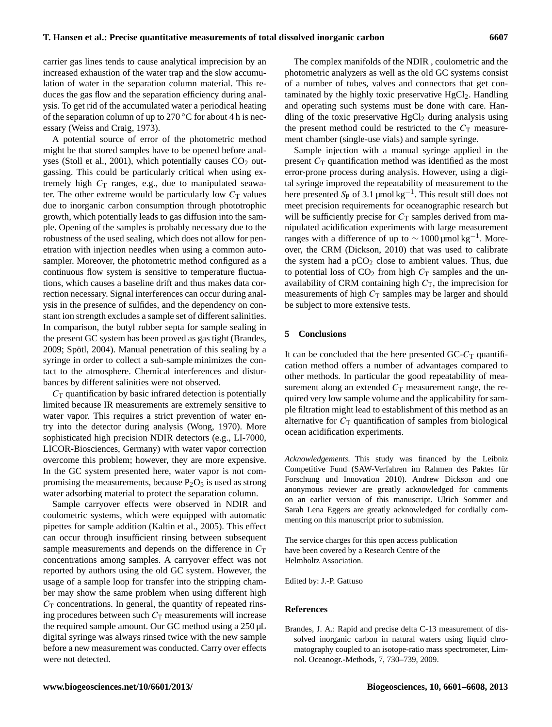carrier gas lines tends to cause analytical imprecision by an increased exhaustion of the water trap and the slow accumulation of water in the separation column material. This reduces the gas flow and the separation efficiency during analysis. To get rid of the accumulated water a periodical heating of the separation column of up to  $270^{\circ}$ C for about 4 h is necessary (Weiss and Craig, 1973).

A potential source of error of the photometric method might be that stored samples have to be opened before analyses (Stoll et al., 2001), which potentially causes  $CO<sub>2</sub>$  outgassing. This could be particularly critical when using extremely high  $C_T$  ranges, e.g., due to manipulated seawater. The other extreme would be particularly low  $C_T$  values due to inorganic carbon consumption through phototrophic growth, which potentially leads to gas diffusion into the sample. Opening of the samples is probably necessary due to the robustness of the used sealing, which does not allow for penetration with injection needles when using a common autosampler. Moreover, the photometric method configured as a continuous flow system is sensitive to temperature fluctuations, which causes a baseline drift and thus makes data correction necessary. Signal interferences can occur during analysis in the presence of sulfides, and the dependency on constant ion strength excludes a sample set of different salinities. In comparison, the butyl rubber septa for sample sealing in the present GC system has been proved as gas tight (Brandes, 2009; Spötl, 2004). Manual penetration of this sealing by a syringe in order to collect a sub-sample minimizes the contact to the atmosphere. Chemical interferences and disturbances by different salinities were not observed.

 $C_T$  quantification by basic infrared detection is potentially limited because IR measurements are extremely sensitive to water vapor. This requires a strict prevention of water entry into the detector during analysis (Wong, 1970). More sophisticated high precision NDIR detectors (e.g., LI-7000, LICOR-Biosciences, Germany) with water vapor correction overcome this problem; however, they are more expensive. In the GC system presented here, water vapor is not compromising the measurements, because  $P_2O_5$  is used as strong water adsorbing material to protect the separation column.

Sample carryover effects were observed in NDIR and coulometric systems, which were equipped with automatic pipettes for sample addition (Kaltin et al., 2005). This effect can occur through insufficient rinsing between subsequent sample measurements and depends on the difference in  $C<sub>T</sub>$ concentrations among samples. A carryover effect was not reported by authors using the old GC system. However, the usage of a sample loop for transfer into the stripping chamber may show the same problem when using different high  $C<sub>T</sub>$  concentrations. In general, the quantity of repeated rinsing procedures between such  $C<sub>T</sub>$  measurements will increase the required sample amount. Our GC method using a 250 µL digital syringe was always rinsed twice with the new sample before a new measurement was conducted. Carry over effects were not detected.

The complex manifolds of the NDIR , coulometric and the photometric analyzers as well as the old GC systems consist of a number of tubes, valves and connectors that get contaminated by the highly toxic preservative  $HgCl<sub>2</sub>$ . Handling and operating such systems must be done with care. Handling of the toxic preservative  $HgCl<sub>2</sub>$  during analysis using the present method could be restricted to the  $C<sub>T</sub>$  measurement chamber (single-use vials) and sample syringe.

Sample injection with a manual syringe applied in the present  $C_T$  quantification method was identified as the most error-prone process during analysis. However, using a digital syringe improved the repeatability of measurement to the here presented  $S_P$  of 3.1 µmol kg<sup>-1</sup>. This result still does not meet precision requirements for oceanographic research but will be sufficiently precise for  $C<sub>T</sub>$  samples derived from manipulated acidification experiments with large measurement ranges with a difference of up to  $\sim 1000$  μmol kg<sup>-1</sup>. Moreover, the CRM (Dickson, 2010) that was used to calibrate the system had a  $pCO<sub>2</sub>$  close to ambient values. Thus, due to potential loss of  $CO<sub>2</sub>$  from high  $C<sub>T</sub>$  samples and the unavailability of CRM containing high  $C_T$ , the imprecision for measurements of high  $C_T$  samples may be larger and should be subject to more extensive tests.

#### **5 Conclusions**

It can be concluded that the here presented  $GC-C_T$  quantification method offers a number of advantages compared to other methods. In particular the good repeatability of measurement along an extended  $C<sub>T</sub>$  measurement range, the required very low sample volume and the applicability for sample filtration might lead to establishment of this method as an alternative for  $C_T$  quantification of samples from biological ocean acidification experiments.

*Acknowledgements.* This study was financed by the Leibniz Competitive Fund (SAW-Verfahren im Rahmen des Paktes für Forschung und Innovation 2010). Andrew Dickson and one anonymous reviewer are greatly acknowledged for comments on an earlier version of this manuscript. Ulrich Sommer and Sarah Lena Eggers are greatly acknowledged for cordially commenting on this manuscript prior to submission.

The service charges for this open access publication have been covered by a Research Centre of the Helmholtz Association.

Edited by: J.-P. Gattuso

#### **References**

Brandes, J. A.: Rapid and precise delta C-13 measurement of dissolved inorganic carbon in natural waters using liquid chromatography coupled to an isotope-ratio mass spectrometer, Limnol. Oceanogr.-Methods, 7, 730–739, 2009.